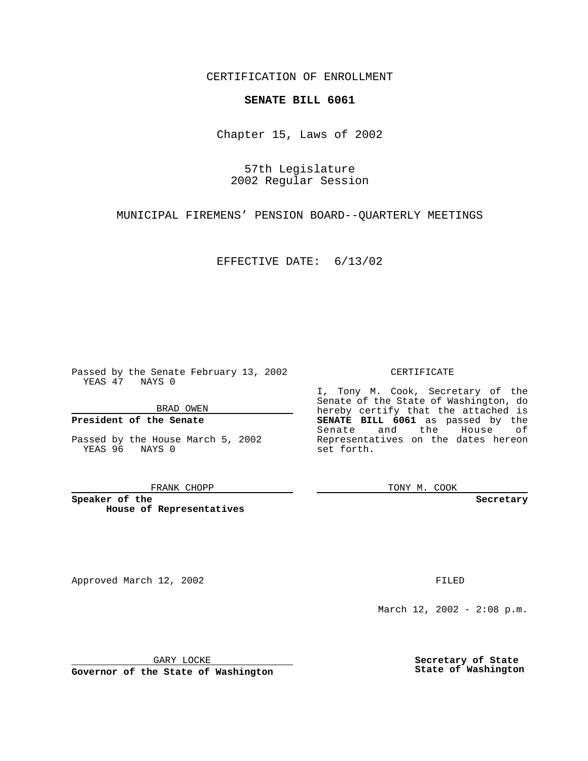CERTIFICATION OF ENROLLMENT

# **SENATE BILL 6061**

Chapter 15, Laws of 2002

57th Legislature 2002 Regular Session

MUNICIPAL FIREMENS' PENSION BOARD--QUARTERLY MEETINGS

EFFECTIVE DATE: 6/13/02

Passed by the Senate February 13, 2002 YEAS 47 NAYS 0

BRAD OWEN

### **President of the Senate**

Passed by the House March 5, 2002 YEAS 96 NAYS 0

#### FRANK CHOPP

**Speaker of the House of Representatives**

Approved March 12, 2002 **FILED** 

### CERTIFICATE

I, Tony M. Cook, Secretary of the Senate of the State of Washington, do hereby certify that the attached is **SENATE BILL 6061** as passed by the Senate and the House of Representatives on the dates hereon set forth.

TONY M. COOK

**Secretary**

March 12, 2002 - 2:08 p.m.

GARY LOCKE

**Governor of the State of Washington**

**Secretary of State State of Washington**